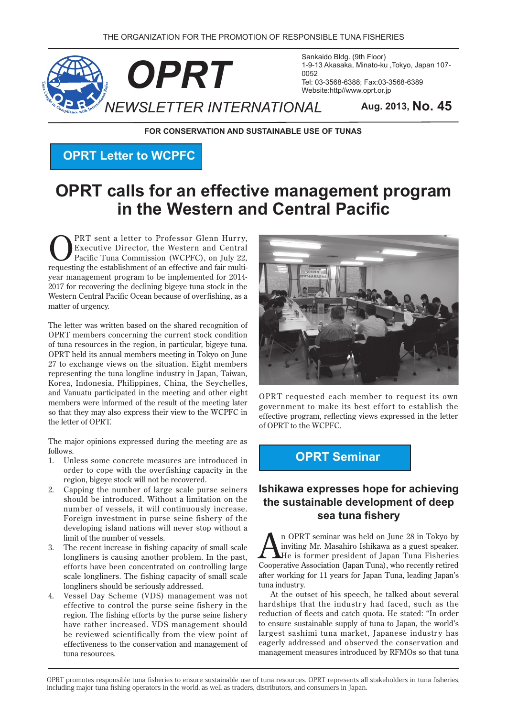

Sankaido Bldg. (9th Floor) 1-9-13 Akasaka, Minato-ku, Tokyo, Japan 107-Tel: 03-3568-6388; Fax: 03-3568-6389 Website:http//www.oprt.or.jp

**FOR CONSERVATION AND SUSTAINABLE USE OF TUNAS** 

**OPRT Letter to WCPFC** 

# **OPRT calls for an effective management program In the Western and Central Pacific**

**CONTAINT:** PRT sent a letter to Professor Glenn Hurry,<br>
Pacific Tuna Commission (WCPFC), on July 22,<br>
requesting the establishment of an effective and feir multi Executive Director, the Western and Central vear management program to be implemented for 2014requesting the establishment of an effective and fair multi-2017 for recovering the declining bigeye tuna stock in the Western Central Pacific Ocean because of overfishing, as a matter of urgency.

The letter was written based on the shared recognition of OPRT members concerning the current stock condition of tuna resources in the region, in particular, bigeye tuna. OPRT held its annual members meeting in Tokyo on June 27 to exchange views on the situation. Eight members representing the tuna longline industry in Japan, Taiwan, Korea, Indonesia, Philippines, China, the Seychelles, and Vanuatu participated in the meeting and other eight members were informed of the result of the meeting later so that they may also express their view to the WCPFC in the letter of OPRT

The major opinions expressed during the meeting are as .follows

- 1. Unless some concrete measures are introduced in order to cope with the overfishing capacity in the region, bigeye stock will not be recovered.
- 2. Capping the number of large scale purse seiners should be introduced. Without a limitation on the number of vessels, it will continuously increase. Foreign investment in purse seine fishery of the developing island nations will never stop without a limit of the number of vessels.
- 3. The recent increase in fishing capacity of small scale longliners is causing another problem. In the past, efforts have been concentrated on controlling large scale longliners. The fishing capacity of small scale longliners should be seriously addressed.
- 4. Vessel Day Scheme (VDS) management was not effective to control the purse seine fishery in the region. The fishing efforts by the purse seine fishery have rather increased. VDS management should be reviewed scientifically from the view point of effectiveness to the conservation and management of tuna resources



OPRT requested each member to request its own government to make its best effort to establish the effective program, reflecting views expressed in the letter of OPRT to the WCPFC.

# **OPRT** Seminar

### **Ishikawa expresses hope for achieving** the sustainable development of deep **sea tuna fishery**

n OPRT seminar was held on June 28 in Tokyo by inviting Mr. Masahiro Ishikawa as a guest speaker. He is former president of Japan Tuna Fisheries Cooperative Association (Japan Tuna), who recently retired after working for 11 years for Japan Tuna, leading Japan's tuna industry.

At the outset of his speech, he talked about several hardships that the industry had faced, such as the reduction of fleets and catch quota. He stated: "In order to ensure sustainable supply of tuna to Japan, the world's largest sashimi tuna market, Japanese industry has eagerly addressed and observed the conservation and management measures introduced by RFMOs so that tuna

OPRT promotes responsible tuna fisheries to ensure sustainable use of tuna resources. OPRT represents all stakeholders in tuna fisheries, including major tuna fishing operators in the world, as well as traders, distributors, and consumers in Japan.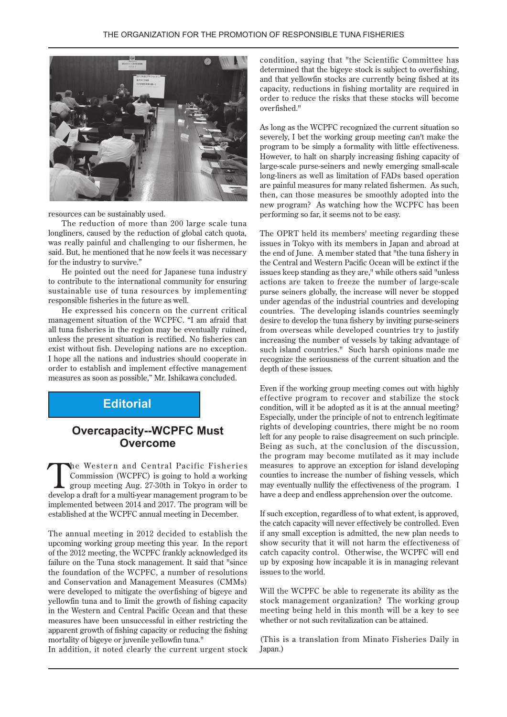

resources can be sustainably used.

The reduction of more than 200 large scale tuna longliners, caused by the reduction of global catch quota, was really painful and challenging to our fishermen, he said. But, he mentioned that he now feels it was necessary for the industry to survive."

He pointed out the need for Japanese tuna industry to contribute to the international community for ensuring sustainable use of tuna resources by implementing responsible fisheries in the future as well.

He expressed his concern on the current critical management situation of the WCPFC. "I am afraid that all tuna fisheries in the region may be eventually ruined, unless the present situation is rectified. No fisheries can exist without fish. Developing nations are no exception. I hope all the nations and industries should cooperate in order to establish and implement effective management measures as soon as possible," Mr. Ishikawa concluded.

#### **Editorial**

### **Overcapacity--WCPFC Must Overcome**

The Western and Central Pacific Fisheries<br>
Commission (WCPFC) is going to hold a working<br>
group meeting Aug. 27-30th in Tokyo in order to<br>
develop a draft for a multi-vear paper comparement to be Commission (WCPFC) is going to hold a working develop a draft for a multi-year-management program to be implemented between 2014 and 2017. The program will be established at the WCPFC annual meeting in December.

The annual meeting in 2012 decided to establish the upcoming working group meeting this year. In the report of the 2012 meeting, the WCPFC frankly acknowledged its failure on the Tuna stock management. It said that "since the foundation of the WCPFC, a number of resolutions and Conservation and Management Measures (CMMs) were developed to mitigate the overfishing of bigeye and yellowf in tuna and to limit the growth of fishing capacity in the Western and Central Pacific Ocean and that these measures have been unsuccessful in either restricting the apparent growth of fishing capacity or reducing the fishing mortality of bigeye or juvenile yellowfin tuna."

In addition, it noted clearly the current urgent stock

condition, saying that "the Scientific Committee has determined that the bigeye stock is subject to overfishing. and that yellowfin stocks are currently being fished at its capacity, reductions in fishing mortality are required in order to reduce the risks that these stocks will become overfished."

As long as the WCPFC recognized the current situation so severely, I bet the working group meeting can't make the program to be simply a formality with little effectiveness. However, to halt on sharply increasing fishing capacity of large-scale purse-seiners and newly emerging small-scale long-liners as well as limitation of FADs based operation are painful measures for many related fishermen. As such, then, can those measures be smoothly adopted into the new program? As watching how the WCPFC has been performing so far, it seems not to be easy.

The OPRT held its members' meeting regarding these issues in Tokyo with its members in Japan and abroad at the end of June. A member stated that "the tuna fishery in the Central and Western Pacific Ocean will be extinct if the issues keep standing as they are," while others said "unless actions are taken to freeze the number of large-scale purse seiners globally, the increase will never be stopped under agendas of the industrial countries and developing countries. The developing islands countries seemingly desire to develop the tuna fishery by inviting purse-seiners from overseas while developed countries try to justify increasing the number of vessels by taking advantage of such island countries." Such harsh opinions made me recognize the seriousness of the current situation and the depth of these issues.

Even if the working group meeting comes out with highly effective program to recover and stabilize the stock condition, will it be adopted as it is at the annual meeting? Especially, under the principle of not to entrench legitimate rights of developing countries, there might be no room left for any people to raise disagreement on such principle. Being as such, at the conclusion of the discussion, the program may become mutilated as it may include measures to approve an exception for island developing counties to increase the number of fishing vessels, which may eventually nullify the effectiveness of the program. I have a deep and endless apprehension over the outcome.

If such exception, regardless of to what extent, is approved. the catch capacity will never effectively be controlled. Even if any small exception is admitted, the new plan needs to show security that it will not harm the effectiveness of catch capacity control. Otherwise, the WCPFC will end up by exposing how incapable it is in managing relevant issues to the world.

Will the WCPFC be able to regenerate its ability as the stock management organization? The working group meeting being held in this month will be a key to see whether or not such revitalization can be attained.

(This is a translation from Minato Fisheries Daily in Japan.)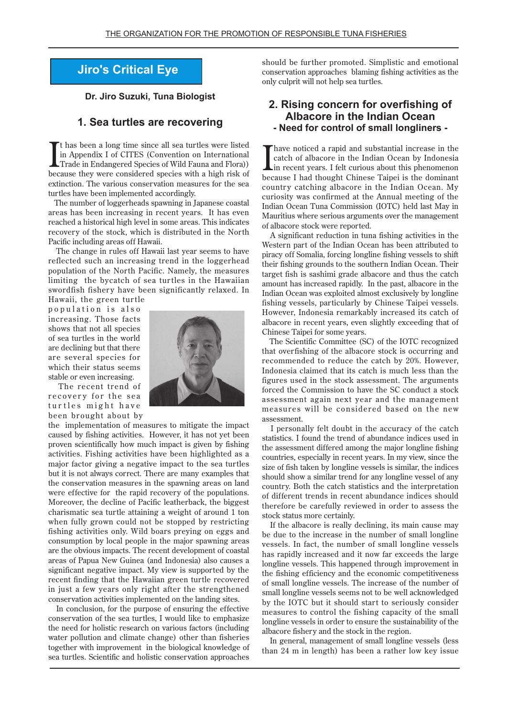## **Jiro's Critical Eye**

**Dr. Jiro Suzuki, Tuna Biologist** 

#### **1. Sea turtles are recovering**

It has been a long time since all sea turtles were listed<br>in Appendix I of CITES (Convention on International<br>Trade in Endangered Species of Wild Fauna and Flora))<br>because they were considered species with a high risk of If has been a long time since all sea turtles were listed in Appendix I of CITES (Convention on International Trade in Endangered Species of Wild Fauna and Flora)) extinction. The various conservation measures for the sea turtles have been implemented accordingly.

The number of loggerheads spawning in Japanese coastal areas has been increasing in recent vears. It has even reached a historical high level in some areas. This indicates recovery of the stock, which is distributed in the North Pacific including areas off Hawaii.

The change in rules off Hawaii last year seems to have reflected such an increasing trend in the loggerhead population of the North Pacific. Namely, the measures limiting the bycatch of sea turtles in the Hawaiian swordfish fishery have been significantly relaxed. In Hawaii, the green turtle

population is also increasing. Those facts shows that not all species of sea turtles in the world are declining but that there are several species for which their status seems stable or even increasing.



The recent trend of recovery for the sea turtles might have been brought about by

the implementation of measures to mitigate the impact caused by fishing activities. However, it has not vet been proven scientifically how much impact is given by fishing activities. Fishing activities have been highlighted as a major factor giving a negative impact to the sea turtles but it is not always correct. There are many examples that the conservation measures in the spawning areas on land were effective for the rapid recovery of the populations. Moreover, the decline of Pacific leatherback, the biggest charismatic sea turtle attaining a weight of around 1 ton when fully grown could not be stopped by restricting fishing activities only. Wild boars preying on eggs and consumption by local people in the major spawning areas are the obvious impacts. The recent development of coastal areas of Papua New Guinea (and Indonesia) also causes a significant negative impact. My view is supported by the recent finding that the Hawaiian green turtle recovered in just a few years only right after the strengthened conservation activities implemented on the landing sites.

In conclusion, for the purpose of ensuring the effective conservation of the sea turtles, I would like to emphasize the need for holistic research on various factors (including water pollution and climate change) other than fisheries together with improvement in the biological knowledge of sea turtles. Scientific and holistic conservation approaches

should be further promoted. Simplistic and emotional conservation approaches blaming fishing activities as the only culprit will not help sea turtles.

#### **2. Rising concern for overfishing of Albacore in the Indian Ocean** - Need for control of small longliners -

Thave noticed a rapid and substantial increase in the catch of albacore in the Indian Ocean by Indonesia in recent years. I felt curious about this phenomenon because I had thought Chinese Taipei is the dominant country catching albacore in the Indian Ocean. My curiosity was confirmed at the Annual meeting of the Indian Ocean Tuna Commission (IOTC) held last May in Mauritius where serious arguments over the management of albacore stock were reported.

A significant reduction in tuna fishing activities in the Western part of the Indian Ocean has been attributed to piracy off Somalia, forcing longline fishing vessels to shift their fishing grounds to the southern Indian Ocean. Their target fish is sashimi grade albacore and thus the catch amount has increased rapidly. In the past, albacore in the Indian Ocean was exploited almost exclusively by longline fishing vessels, particularly by Chinese Taipei vessels. However, Indonesia remarkably increased its catch of albacore in recent years, even slightly exceeding that of Chinese Taipei for some years.

The Scientific Committee (SC) of the IOTC recognized that overfishing of the albacore stock is occurring and recommended to reduce the catch by 20%. However, Indonesia claimed that its catch is much less than the figures used in the stock assessment. The arguments forced the Commission to have the SC conduct a stock assessment again next year and the management measures will be considered based on the new .assessment

I personally felt doubt in the accuracy of the catch statistics. I found the trend of abundance indices used in the assessment differed among the major longline fishing countries, especially in recent years. In my view, since the size of fish taken by longline vessels is similar, the indices should show a similar trend for any longline vessel of any country. Both the catch statistics and the interpretation of different trends in recent abundance indices should therefore be carefully reviewed in order to assess the stock status more certainly.

If the albacore is really declining, its main cause may be due to the increase in the number of small longline vessels. In fact, the number of small longline vessels has rapidly increased and it now far exceeds the large longline vessels. This happened through improvement in the fishing efficiency and the economic competitiveness of small longline vessels. The increase of the number of small longline vessels seems not to be well acknowledged by the IOTC but it should start to seriously consider measures to control the fishing capacity of the small longline vessels in order to ensure the sustainability of the albacore fishery and the stock in the region.

In general, management of small longline vessels (less than 24 m in length) has been a rather low key issue